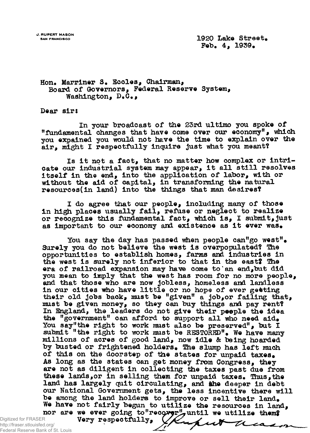**J. RUPERT MASON \_ ^** Feb. 4, 1939.

TX.

ca

 $\overline{p}$ 

## **Hon. Marriner S# Eccles, Chairman, Board of Governors, Federal Reserve System, Washington, D«G#,**

**Dear sir:**

**In your broadcast of the 25rd ultimo you spoke of "fundamental changes that have come over our economy", which you expained you would not have the time to explain over the air, might I respectfully inquire just what you meant?**

**Is it not a fact, that no matter how complex or intricate our industrial system may appear, it all still resolves itself in the end, into the application of labor, with or without the aid of capital, in transforming the natural resources(in land) into the things that man desires?**

**I do agree that our people, including many of those** in high places usually fail, refuse or neglect to realize **or recognize this fundamental fact, which is, I submit, just** as important to our economy and existence as it ever was.

You say the day has passed when people can<sup>"</sup>go west". **Surely you do not believe the west is overpopulated? The opportunities to establish homes, farms and industries in the west is surely not inferior to that in the east? The era of railroad expansion may have come to\*an end,but did you mean to imply that the west has room for no more people, and that those who are now jobless, homeless and landless in our cities who have little or no hope of ever getting their old jobs back, must be "given" a job,or failing that, must be given money, so they can buy things and pay rent? In England, the leaders do not give their people the idea** the "government" can afford to support all who need aid. **You say"the right to work must also be preserved", but I** submit "the right to work must be RESTORED". We have many **millions of acres of good land, now idle & being hoarded** by busted or frightened holders. The slump has left much of this on the doorstep of the states for unpaid taxes. **As long as the states can get money from Congress, they are not as diligent in collecting the taxes past due from** these lands, or in selling them for unpaid taxes. Thus, the land has largely quit circulating, and the deeper in debt **our National Government gets, the less incentive there will** be among the land holders to improve or sell their land. **We have not fairly begun to utilize the resources in land,** nor are we ever going to"recover", until we utilize them?

Very respectfully,

Digitized for FRASER http://fraser.stlouisfed.org/ Federal Reserve Bank of St. Louis